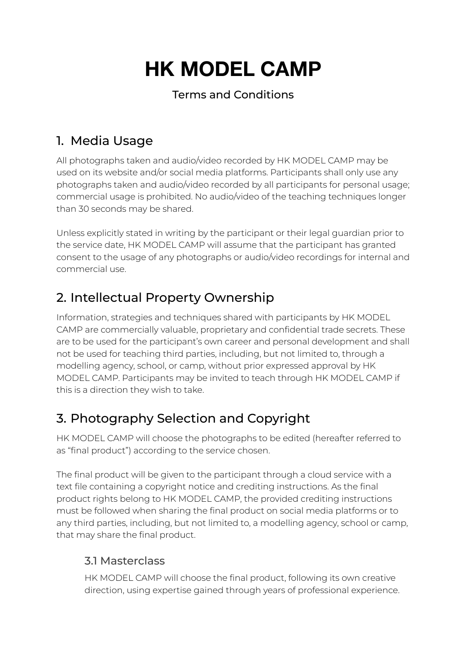# **HK MODEL CAMP**

#### Terms and Conditions

# 1. Media Usage

All photographs taken and audio/video recorded by HK MODEL CAMP may be used on its website and/or social media platforms. Participants shall only use any photographs taken and audio/video recorded by all participants for personal usage; commercial usage is prohibited. No audio/video of the teaching techniques longer than 30 seconds may be shared.

Unless explicitly stated in writing by the participant or their legal guardian prior to the service date, HK MODEL CAMP will assume that the participant has granted consent to the usage of any photographs or audio/video recordings for internal and commercial use.

# 2. Intellectual Property Ownership

Information, strategies and techniques shared with participants by HK MODEL CAMP are commercially valuable, proprietary and confidential trade secrets. These are to be used for the participant's own career and personal development and shall not be used for teaching third parties, including, but not limited to, through a modelling agency, school, or camp, without prior expressed approval by HK MODEL CAMP. Participants may be invited to teach through HK MODEL CAMP if this is a direction they wish to take.

# 3. Photography Selection and Copyright

HK MODEL CAMP will choose the photographs to be edited (hereafter referred to as "final product") according to the service chosen.

The final product will be given to the participant through a cloud service with a text file containing a copyright notice and crediting instructions. As the final product rights belong to HK MODEL CAMP, the provided crediting instructions must be followed when sharing the final product on social media platforms or to any third parties, including, but not limited to, a modelling agency, school or camp, that may share the final product.

#### 3.1 Masterclass

HK MODEL CAMP will choose the final product, following its own creative direction, using expertise gained through years of professional experience.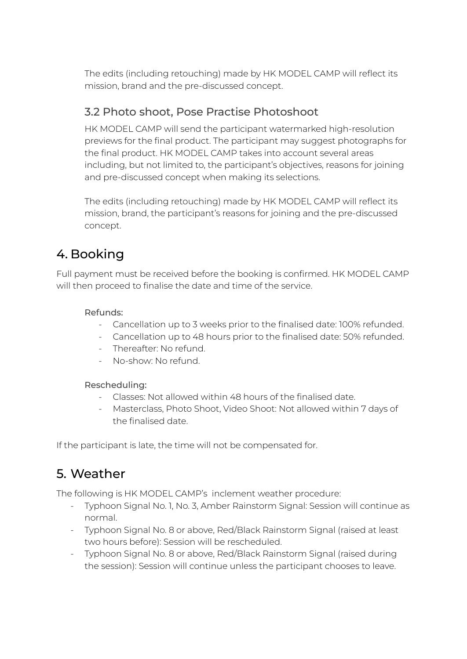The edits (including retouching) made by HK MODEL CAMP will reflect its mission, brand and the pre-discussed concept.

#### 3.2 Photo shoot, Pose Practise Photoshoot

HK MODEL CAMP will send the participant watermarked high-resolution previews for the final product. The participant may suggest photographs for the final product. HK MODEL CAMP takes into account several areas including, but not limited to, the participant's objectives, reasons for joining and pre-discussed concept when making its selections.

The edits (including retouching) made by HK MODEL CAMP will reflect its mission, brand, the participant's reasons for joining and the pre-discussed concept.

## 4. Booking

Full payment must be received before the booking is confirmed. HK MODEL CAMP will then proceed to finalise the date and time of the service.

#### Refunds:

- Cancellation up to 3 weeks prior to the finalised date: 100% refunded.
- Cancellation up to 48 hours prior to the finalised date: 50% refunded.
- Thereafter: No refund.
- No-show: No refund.

#### Rescheduling:

- Classes: Not allowed within 48 hours of the finalised date.
- Masterclass, Photo Shoot, Video Shoot: Not allowed within 7 days of the finalised date.

If the participant is late, the time will not be compensated for.

## 5. Weather

The following is HK MODEL CAMP's inclement weather procedure:

- Typhoon Signal No. 1, No. 3, Amber Rainstorm Signal: Session will continue as normal.
- Typhoon Signal No. 8 or above, Red/Black Rainstorm Signal (raised at least two hours before): Session will be rescheduled.
- Typhoon Signal No. 8 or above, Red/Black Rainstorm Signal (raised during the session): Session will continue unless the participant chooses to leave.